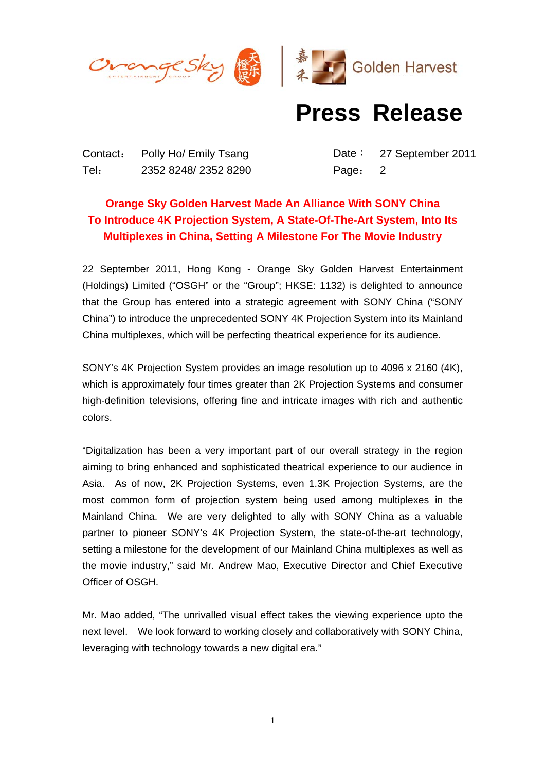

## **Press Release**

Contact: Polly Ho/ Emily Tsang Date: 27 September 2011 Tel: 2352 8248/ 2352 8290 Page: 2

## **Orange Sky Golden Harvest Made An Alliance With SONY China To Introduce 4K Projection System, A State-Of-The-Art System, Into Its Multiplexes in China, Setting A Milestone For The Movie Industry**

22 September 2011, Hong Kong - Orange Sky Golden Harvest Entertainment (Holdings) Limited ("OSGH" or the "Group"; HKSE: 1132) is delighted to announce that the Group has entered into a strategic agreement with SONY China ("SONY China") to introduce the unprecedented SONY 4K Projection System into its Mainland China multiplexes, which will be perfecting theatrical experience for its audience.

SONY's 4K Projection System provides an image resolution up to 4096 x 2160 (4K), which is approximately four times greater than 2K Projection Systems and consumer high-definition televisions, offering fine and intricate images with rich and authentic colors.

"Digitalization has been a very important part of our overall strategy in the region aiming to bring enhanced and sophisticated theatrical experience to our audience in Asia. As of now, 2K Projection Systems, even 1.3K Projection Systems, are the most common form of projection system being used among multiplexes in the Mainland China. We are very delighted to ally with SONY China as a valuable partner to pioneer SONY's 4K Projection System, the state-of-the-art technology, setting a milestone for the development of our Mainland China multiplexes as well as the movie industry," said Mr. Andrew Mao, Executive Director and Chief Executive Officer of OSGH.

Mr. Mao added, "The unrivalled visual effect takes the viewing experience upto the next level. We look forward to working closely and collaboratively with SONY China, leveraging with technology towards a new digital era."